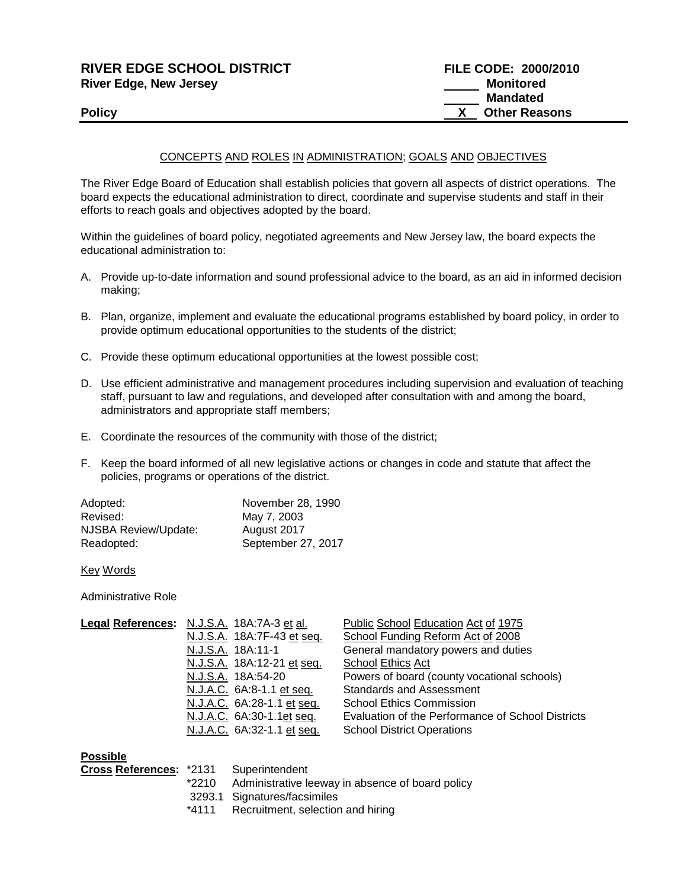| <b>RIVER EDGE SCHOOL DISTRICT</b> | <b>FILE CODE: 2000/2010</b> |
|-----------------------------------|-----------------------------|
| <b>River Edge, New Jersey</b>     | Monitored                   |
|                                   | Mandated                    |
| <b>Policy</b>                     | <b>Other Reasons</b>        |
|                                   |                             |

## CONCEPTS AND ROLES IN ADMINISTRATION; GOALS AND OBJECTIVES

The River Edge Board of Education shall establish policies that govern all aspects of district operations. The board expects the educational administration to direct, coordinate and supervise students and staff in their efforts to reach goals and objectives adopted by the board.

Within the guidelines of board policy, negotiated agreements and New Jersey law, the board expects the educational administration to:

- A. Provide up-to-date information and sound professional advice to the board, as an aid in informed decision making;
- B. Plan, organize, implement and evaluate the educational programs established by board policy, in order to provide optimum educational opportunities to the students of the district;
- C. Provide these optimum educational opportunities at the lowest possible cost;
- D. Use efficient administrative and management procedures including supervision and evaluation of teaching staff, pursuant to law and regulations, and developed after consultation with and among the board, administrators and appropriate staff members;
- E. Coordinate the resources of the community with those of the district;
- F. Keep the board informed of all new legislative actions or changes in code and statute that affect the policies, programs or operations of the district.

| November 28, 1990  |
|--------------------|
| May 7, 2003        |
| August 2017        |
| September 27, 2017 |
|                    |

Key Words

Administrative Role

|                            | Public School Education Act of 1975               |
|----------------------------|---------------------------------------------------|
| N.J.S.A. 18A:7F-43 et seq. | School Funding Reform Act of 2008                 |
| N.J.S.A. 18A:11-1          | General mandatory powers and duties               |
| N.J.S.A. 18A:12-21 et seq. | School Ethics Act                                 |
| N.J.S.A. 18A:54-20         | Powers of board (county vocational schools)       |
| N.J.A.C. 6A:8-1.1 et seq.  | Standards and Assessment                          |
| N.J.A.C. 6A:28-1.1 et seq. | <b>School Ethics Commission</b>                   |
| N.J.A.C. 6A:30-1.1et seq.  | Evaluation of the Performance of School Districts |
| N.J.A.C. 6A:32-1.1 et seq. | <b>School District Operations</b>                 |
|                            | Legal References: N.J.S.A. 18A:7A-3 et al.        |

## **Possible**

| <b>Cross References: *2131 Superintendent</b> |       |                                                        |
|-----------------------------------------------|-------|--------------------------------------------------------|
|                                               |       | *2210 Administrative leeway in absence of board policy |
|                                               |       | 3293.1 Signatures/facsimiles                           |
|                                               | *4111 | Recruitment, selection and hiring                      |